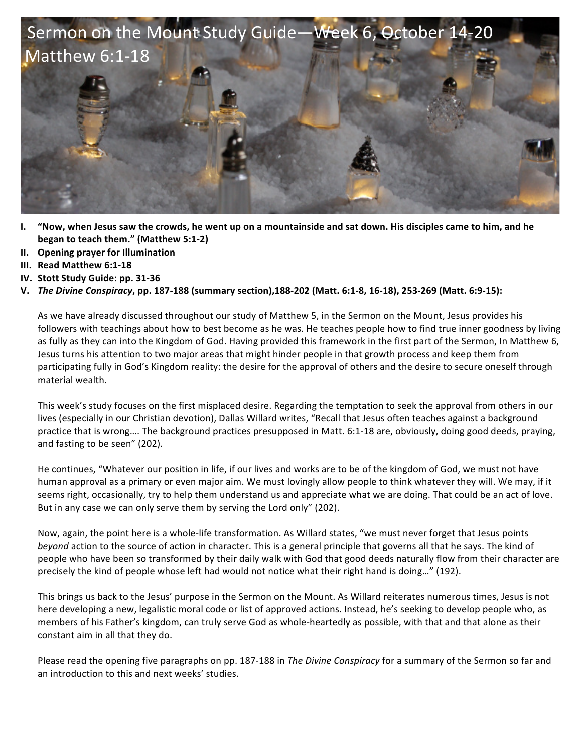

- **I.** "Now, when Jesus saw the crowds, he went up on a mountainside and sat down. His disciples came to him, and he **began to teach them."** (Matthew 5:1-2)
- **II. Opening prayer for Illumination**
- **III. Read Matthew 6:1-18**
- **IV.** Stott Study Guide: pp. 31-36
- **V.** *The Divine Conspiracy*, pp. 187-188 (summary section),188-202 (Matt. 6:1-8, 16-18), 253-269 (Matt. 6:9-15):

As we have already discussed throughout our study of Matthew 5, in the Sermon on the Mount, Jesus provides his followers with teachings about how to best become as he was. He teaches people how to find true inner goodness by living as fully as they can into the Kingdom of God. Having provided this framework in the first part of the Sermon, In Matthew 6, Jesus turns his attention to two major areas that might hinder people in that growth process and keep them from participating fully in God's Kingdom reality: the desire for the approval of others and the desire to secure oneself through material wealth.

This week's study focuses on the first misplaced desire. Regarding the temptation to seek the approval from others in our lives (especially in our Christian devotion), Dallas Willard writes, "Recall that Jesus often teaches against a background practice that is wrong.... The background practices presupposed in Matt. 6:1-18 are, obviously, doing good deeds, praying, and fasting to be seen" (202).

He continues, "Whatever our position in life, if our lives and works are to be of the kingdom of God, we must not have human approval as a primary or even major aim. We must lovingly allow people to think whatever they will. We may, if it seems right, occasionally, try to help them understand us and appreciate what we are doing. That could be an act of love. But in any case we can only serve them by serving the Lord only" (202).

Now, again, the point here is a whole-life transformation. As Willard states, "we must never forget that Jesus points *beyond* action to the source of action in character. This is a general principle that governs all that he says. The kind of people who have been so transformed by their daily walk with God that good deeds naturally flow from their character are precisely the kind of people whose left had would not notice what their right hand is doing..." (192).

This brings us back to the Jesus' purpose in the Sermon on the Mount. As Willard reiterates numerous times, Jesus is not here developing a new, legalistic moral code or list of approved actions. Instead, he's seeking to develop people who, as members of his Father's kingdom, can truly serve God as whole-heartedly as possible, with that and that alone as their constant aim in all that they do.

Please read the opening five paragraphs on pp. 187-188 in *The Divine Conspiracy* for a summary of the Sermon so far and an introduction to this and next weeks' studies.